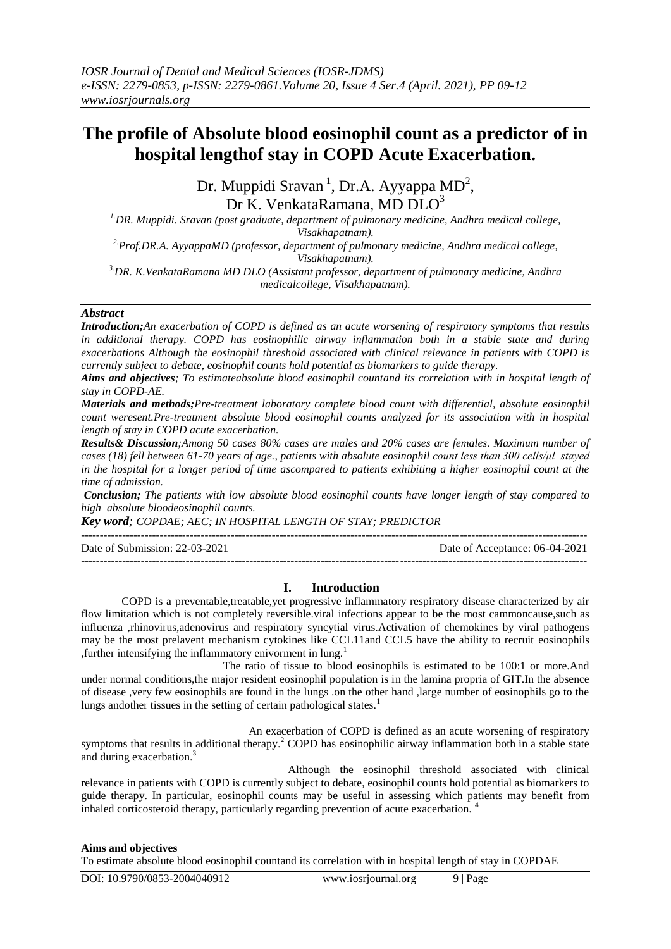# **The profile of Absolute blood eosinophil count as a predictor of in hospital lengthof stay in COPD Acute Exacerbation.**

Dr. Muppidi Sravan<sup>1</sup>, Dr.A. Ayyappa MD<sup>2</sup>, Dr K. VenkataRamana, MD  $DLO<sup>3</sup>$ 

*1.DR. Muppidi. Sravan (post graduate, department of pulmonary medicine, Andhra medical college, Visakhapatnam). 2.Prof.DR.A. AyyappaMD (professor, department of pulmonary medicine, Andhra medical college,* 

*Visakhapatnam).*

*3.DR. K.VenkataRamana MD DLO (Assistant professor, department of pulmonary medicine, Andhra medicalcollege, Visakhapatnam).*

## *Abstract*

*Introduction;An exacerbation of COPD is defined as an acute worsening of respiratory symptoms that results in additional therapy. COPD has eosinophilic airway inflammation both in a stable state and during exacerbations Although the eosinophil threshold associated with clinical relevance in patients with COPD is currently subject to debate, eosinophil counts hold potential as biomarkers to guide therapy.* 

*Aims and objectives; To estimateabsolute blood eosinophil countand its correlation with in hospital length of stay in COPD-AE.*

*Materials and methods;Pre-treatment laboratory complete blood count with differential, absolute eosinophil count weresent.Pre-treatment absolute blood eosinophil counts analyzed for its association with in hospital length of stay in COPD acute exacerbation.*

*Results& Discussion;Among 50 cases 80% cases are males and 20% cases are females. Maximum number of cases (18) fell between 61-70 years of age., patients with absolute eosinophil count less than 300 cells/μl stayed in the hospital for a longer period of time ascompared to patients exhibiting a higher eosinophil count at the time of admission.*

*Conclusion; The patients with low absolute blood eosinophil counts have longer length of stay compared to high absolute bloodeosinophil counts.*

*Key word; COPDAE; AEC; IN HOSPITAL LENGTH OF STAY; PREDICTOR*

| Date of Submission: 22-03-2021 | Date of Acceptance: 06-04-2021 |
|--------------------------------|--------------------------------|
|                                |                                |

## **I. Introduction**

COPD is a preventable, treatable, yet progressive inflammatory respiratory disease characterized by air flow limitation which is not completely reversible.viral infections appear to be the most cammoncause,such as influenza ,rhinovirus,adenovirus and respiratory syncytial virus.Activation of chemokines by viral pathogens may be the most prelavent mechanism cytokines like CCL11and CCL5 have the ability to recruit eosinophils ,further intensifying the inflammatory enivorment in lung.<sup>1</sup>

 The ratio of tissue to blood eosinophils is estimated to be 100:1 or more.And under normal conditions,the major resident eosinophil population is in the lamina propria of GIT.In the absence of disease ,very few eosinophils are found in the lungs .on the other hand ,large number of eosinophils go to the lungs andother tissues in the setting of certain pathological states.<sup>1</sup>

 An exacerbation of COPD is defined as an acute worsening of respiratory symptoms that results in additional therapy.<sup>2</sup> COPD has eosinophilic airway inflammation both in a stable state and during exacerbation.<sup>3</sup>

 Although the eosinophil threshold associated with clinical relevance in patients with COPD is currently subject to debate, eosinophil counts hold potential as biomarkers to guide therapy. In particular, eosinophil counts may be useful in assessing which patients may benefit from inhaled corticosteroid therapy, particularly regarding prevention of acute exacerbation. <sup>4</sup>

**Aims and objectives**

To estimate absolute blood eosinophil countand its correlation with in hospital length of stay in COPDAE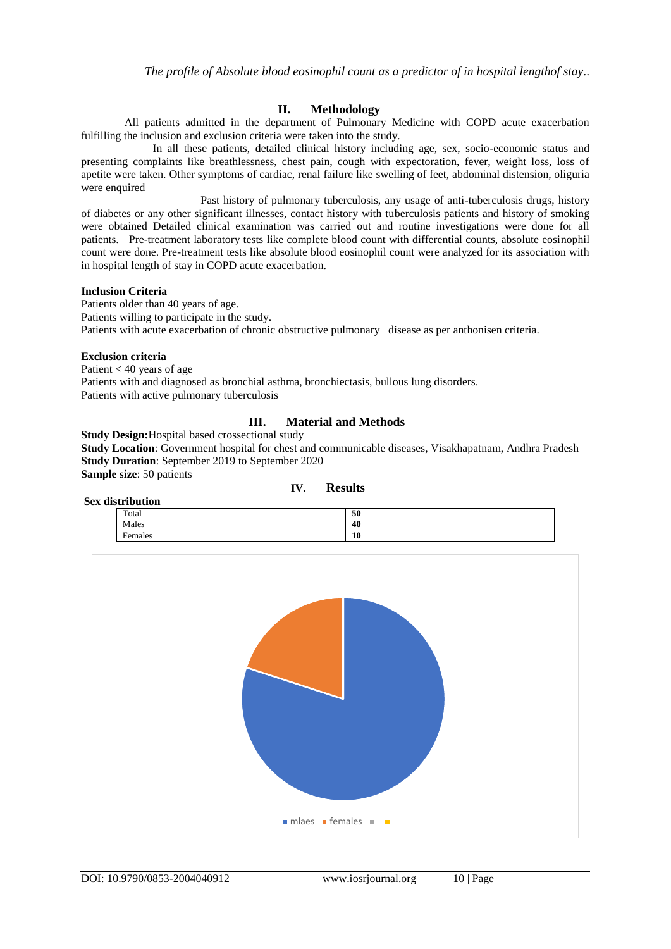## **II. Methodology**

All patients admitted in the department of Pulmonary Medicine with COPD acute exacerbation fulfilling the inclusion and exclusion criteria were taken into the study.

 In all these patients, detailed clinical history including age, sex, socio-economic status and presenting complaints like breathlessness, chest pain, cough with expectoration, fever, weight loss, loss of apetite were taken. Other symptoms of cardiac, renal failure like swelling of feet, abdominal distension, oliguria were enquired

 Past history of pulmonary tuberculosis, any usage of anti-tuberculosis drugs, history of diabetes or any other significant illnesses, contact history with tuberculosis patients and history of smoking were obtained Detailed clinical examination was carried out and routine investigations were done for all patients. Pre-treatment laboratory tests like complete blood count with differential counts, absolute eosinophil count were done. Pre-treatment tests like absolute blood eosinophil count were analyzed for its association with in hospital length of stay in COPD acute exacerbation.

## **Inclusion Criteria**

Patients older than 40 years of age. Patients willing to participate in the study. Patients with acute exacerbation of chronic obstructive pulmonary disease as per anthonisen criteria.

## **Exclusion criteria**

Patient  $<$  40 years of age Patients with and diagnosed as bronchial asthma, bronchiectasis, bullous lung disorders. Patients with active pulmonary tuberculosis

## **III. Material and Methods**

**Study Design:**Hospital based crossectional study

**Study Location**: Government hospital for chest and communicable diseases, Visakhapatnam, Andhra Pradesh **Study Duration**: September 2019 to September 2020 **Sample size**: 50 patients

## **IV. Results**

|                         | ------------ |    |  |  |  |
|-------------------------|--------------|----|--|--|--|
| <b>Sex distribution</b> |              |    |  |  |  |
|                         | Total        | 50 |  |  |  |
|                         | Males        | 40 |  |  |  |
|                         | Females      | 10 |  |  |  |
|                         |              |    |  |  |  |

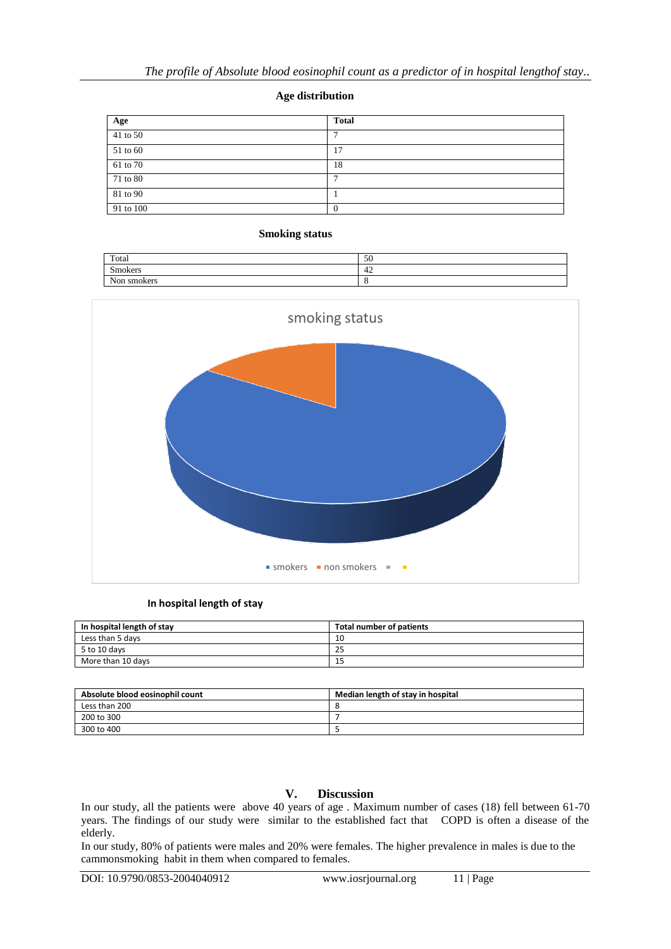## **Age distribution**

| Age       | <b>Total</b> |
|-----------|--------------|
| 41 to 50  | −            |
| 51 to 60  | 17           |
| 61 to 70  | 18           |
| 71 to 80  | -            |
| 81 to 90  |              |
| 91 to 100 | $\theta$     |

## **Smoking status**

| Total             | 50 |
|-------------------|----|
| $\sim$<br>Smokers | 42 |
| Non smokers       | o  |



## **In hospital length of stay**

| In hospital length of stay | Total number of patients |
|----------------------------|--------------------------|
| Less than 5 days           | 10                       |
| 5 to 10 days               | 25                       |
| More than 10 days          | 15                       |

| Absolute blood eosinophil count | Median length of stay in hospital |
|---------------------------------|-----------------------------------|
| Less than 200                   |                                   |
| 200 to 300                      |                                   |
| 300 to 400                      |                                   |

## **V. Discussion**

In our study, all the patients were above 40 years of age . Maximum number of cases (18) fell between 61-70 years. The findings of our study were similar to the established fact that COPD is often a disease of the elderly.

In our study, 80% of patients were males and 20% were females. The higher prevalence in males is due to the cammonsmoking habit in them when compared to females.